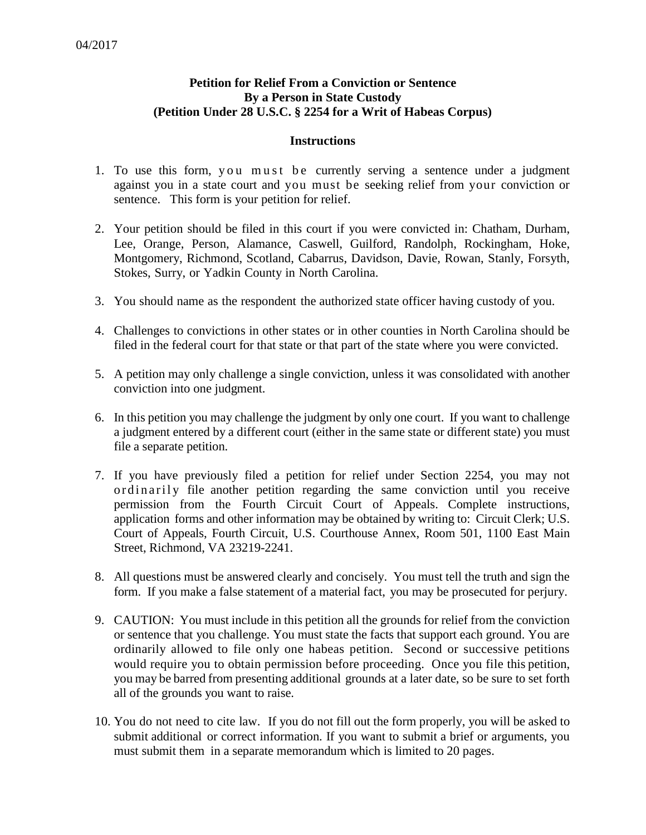## **Petition for Relief From a Conviction or Sentence By a Person in State Custody (Petition Under 28 U.S.C. § 2254 for a Writ of Habeas Corpus)**

## **Instructions**

- 1. To use this form, you must be currently serving a sentence under a judgment against you in a state court and you must be seeking relief from your conviction or sentence. This form is your petition for relief.
- 2. Your petition should be filed in this court if you were convicted in: Chatham, Durham, Lee, Orange, Person, Alamance, Caswell, Guilford, Randolph, Rockingham, Hoke, Montgomery, Richmond, Scotland, Cabarrus, Davidson, Davie, Rowan, Stanly, Forsyth, Stokes, Surry, or Yadkin County in North Carolina.
- 3. You should name as the respondent the authorized state officer having custody of you.
- 4. Challenges to convictions in other states or in other counties in North Carolina should be filed in the federal court for that state or that part of the state where you were convicted.
- 5. A petition may only challenge a single conviction, unless it was consolidated with another conviction into one judgment.
- 6. In this petition you may challenge the judgment by only one court. If you want to challenge a judgment entered by a different court (either in the same state or different state) you must file a separate petition.
- 7. If you have previously filed a petition for relief under Section 2254, you may not ordinarily file another petition regarding the same conviction until you receive permission from the Fourth Circuit Court of Appeals. Complete instructions, application forms and other information may be obtained by writing to: Circuit Clerk; U.S. Court of Appeals, Fourth Circuit, U.S. Courthouse Annex, Room 501, 1100 East Main Street, Richmond, VA 23219-2241.
- 8. All questions must be answered clearly and concisely. You must tell the truth and sign the form. If you make a false statement of a material fact, you may be prosecuted for perjury.
- 9. CAUTION: You must include in this petition all the grounds for relief from the conviction or sentence that you challenge. You must state the facts that support each ground. You are ordinarily allowed to file only one habeas petition. Second or successive petitions would require you to obtain permission before proceeding. Once you file this petition, you may be barred from presenting additional grounds at a later date, so be sure to set forth all of the grounds you want to raise.
- 10. You do not need to cite law. If you do not fill out the form properly, you will be asked to submit additional or correct information. If you want to submit a brief or arguments, you must submit them in a separate memorandum which is limited to 20 pages.